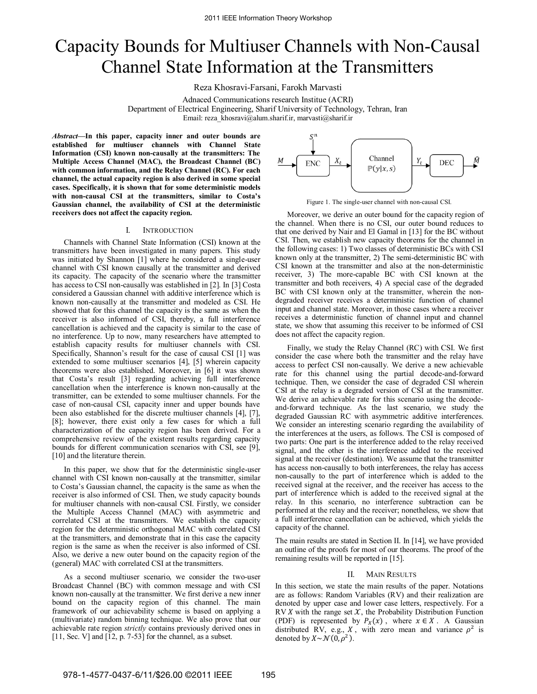# Capacity Bounds for Multiuser Channels with Non-Causal Channel State Information at the Transmitters

Reza Khosravi-Farsani, Farokh Marvasti

Adnaced Communications research Institue (ACRI) Department of Electrical Engineering, Sharif University of Technology, Tehran, Iran Email: reza\_khosravi@alum.sharif.ir, marvasti@sharif.ir

*Abstract***—In this paper, capacity inner and outer bounds are established for multiuser channels with Channel State Information (CSI) known non-causally at the transmitters: The Multiple Access Channel (MAC), the Broadcast Channel (BC) with common information, and the Relay Channel (RC). For each channel, the actual capacity region is also derived in some special cases. Specifically, it is shown that for some deterministic models with non-causal CSI at the transmitters, similar to Costa's Gaussian channel, the availability of CSI at the deterministic receivers does not affect the capacity region.**

# I. INTRODUCTION

Channels with Channel State Information (CSI) known at the transmitters have been investigated in many papers. This study was initiated by Shannon [1] where he considered a single-user channel with CSI known causally at the transmitter and derived its capacity. The capacity of the scenario where the transmitter has access to CSI non-causally was established in [2]. In [3] Costa considered a Gaussian channel with additive interference which is known non-causally at the transmitter and modeled as CSI. He showed that for this channel the capacity is the same as when the receiver is also informed of CSI, thereby, a full interference cancellation is achieved and the capacity is similar to the case of no interference. Up to now, many researchers have attempted to establish capacity results for multiuser channels with CSI. Specifically, Shannon's result for the case of causal CSI [1] was extended to some multiuser scenarios [4], [5] wherein capacity theorems were also established. Moreover, in [6] it was shown that Costa's result [3] regarding achieving full interference cancellation when the interference is known non-causally at the transmitter, can be extended to some multiuser channels. For the case of non-causal CSI, capacity inner and upper bounds have been also established for the discrete multiuser channels [4], [7], [8]; however, there exist only a few cases for which a full characterization of the capacity region has been derived. For a comprehensive review of the existent results regarding capacity bounds for different communication scenarios with CSI, see [9], [10] and the literature therein.

In this paper, we show that for the deterministic single-user channel with CSI known non-causally at the transmitter, similar to Costa's Gaussian channel, the capacity is the same as when the receiver is also informed of CSI. Then, we study capacity bounds for multiuser channels with non-causal CSI. Firstly, we consider the Multiple Access Channel (MAC) with asymmetric and correlated CSI at the transmitters. We establish the capacity region for the deterministic orthogonal MAC with correlated CSI at the transmitters, and demonstrate that in this case the capacity region is the same as when the receiver is also informed of CSI. Also, we derive a new outer bound on the capacity region of the (general) MAC with correlated CSI at the transmitters.

As a second multiuser scenario, we consider the two-user Broadcast Channel (BC) with common message and with CSI known non-causally at the transmitter. We first derive a new inner bound on the capacity region of this channel. The main framework of our achievability scheme is based on applying a (multivariate) random binning technique. We also prove that our achievable rate region *strictly* contains previously derived ones in [11, Sec. V] and  $[\overline{1}2, p. 7-53]$  for the channel, as a subset.



Figure 1. The single-user channel with non-causal CSI.

Moreover, we derive an outer bound for the capacity region of the channel. When there is no CSI, our outer bound reduces to that one derived by Nair and El Gamal in [13] for the BC without CSI. Then, we establish new capacity theorems for the channel in the following cases: 1) Two classes of deterministic BCs with CSI known only at the transmitter, 2) The semi-deterministic BC with CSI known at the transmitter and also at the non-deterministic receiver, 3) The more-capable BC with CSI known at the transmitter and both receivers, 4) A special case of the degraded BC with CSI known only at the transmitter, wherein the nondegraded receiver receives a deterministic function of channel input and channel state. Moreover, in those cases where a receiver receives a deterministic function of channel input and channel state, we show that assuming this receiver to be informed of CSI does not affect the capacity region.

Finally, we study the Relay Channel (RC) with CSI. We first consider the case where both the transmitter and the relay have access to perfect CSI non-causally. We derive a new achievable rate for this channel using the partial decode-and-forward technique. Then, we consider the case of degraded CSI wherein CSI at the relay is a degraded version of CSI at the transmitter. We derive an achievable rate for this scenario using the decodeand-forward technique. As the last scenario, we study the degraded Gaussian RC with asymmetric additive interferences. We consider an interesting scenario regarding the availability of the interferences at the users, as follows. The CSI is composed of two parts: One part is the interference added to the relay received signal, and the other is the interference added to the received signal at the receiver (destination). We assume that the transmitter has access non-causally to both interferences, the relay has access non-causally to the part of interference which is added to the received signal at the receiver, and the receiver has access to the part of interference which is added to the received signal at the relay. In this scenario, no interference subtraction can be performed at the relay and the receiver; nonetheless, we show that a full interference cancellation can be achieved, which yields the capacity of the channel.

The main results are stated in Section II. In [14], we have provided an outline of the proofs for most of our theorems. The proof of the remaining results will be reported in [15].

# II. MAIN RESULTS

In this section, we state the main results of the paper. Notations are as follows: Random Variables (RV) and their realization are denoted by upper case and lower case letters, respectively. For a RV  $X$  with the range set  $X$ , the Probability Distribution Function (PDF) is represented by  $P_X(x)$ , where  $x \in X$ . A Gaussian distributed RV, e.g., X, with zero mean and variance  $\rho^2$  is denoted by  $X \sim \mathcal{N}(0, \rho^2)$ .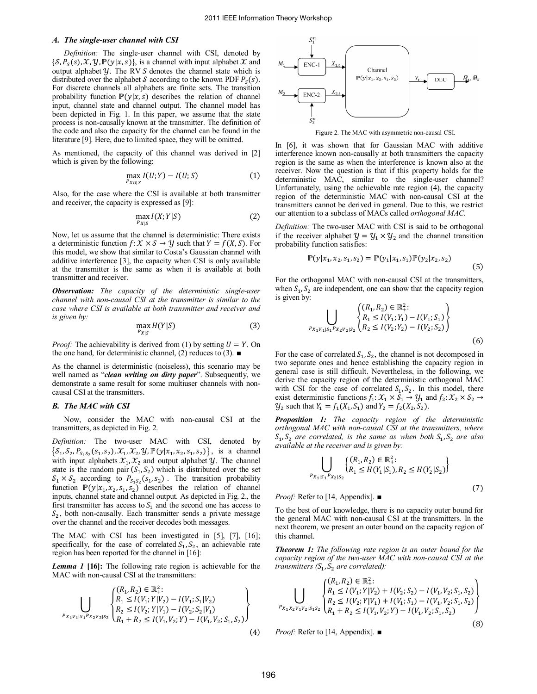## *A. The single-user channel with CSI*

*Definition:* The single-user channel with CSI, denoted by  $\{\mathcal{S}, P_{\mathcal{S}}(s), \mathcal{X}, \mathcal{Y}, \mathbb{P}(y|x, s)\}$ , is a channel with input alphabet  $\mathcal{X}$  and output alphabet  $\mathcal{Y}$ . The RV  $S$  denotes the channel state which is distributed over the alphabet S according to the known PDF  $P_s(s)$ . For discrete channels all alphabets are finite sets. The transition probability function  $\mathbb{P}(y|x, s)$  describes the relation of channel input, channel state and channel output. The channel model has been depicted in Fig. 1. In this paper, we assume that the state process is non-causally known at the transmitter. The definition of the code and also the capacity for the channel can be found in the literature [9]. Here, due to limited space, they will be omitted.

As mentioned, the capacity of this channel was derived in [2] which is given by the following:

$$
\max_{P_{XU|S}} I(U;Y) - I(U;S)
$$
 (1)

Also, for the case where the CSI is available at both transmitter and receiver, the capacity is expressed as [9]:

$$
\max_{P_{X|S}} I(X;Y|S) \tag{2}
$$

Now, let us assume that the channel is deterministic: There exists a deterministic function  $f: \mathcal{X} \times \mathcal{S} \to \mathcal{Y}$  such that  $Y = f(X, \mathcal{S})$ . For this model, we show that similar to Costa's Gaussian channel with additive interference [3], the capacity when CSI is only available at the transmitter is the same as when it is available at both transmitter and receiver.

*Observation: The capacity of the deterministic single-user channel with non-causal CSI at the transmitter is similar to the case where CSI is available at both transmitter and receiver and is given by:*

$$
\max_{P_{X|S}} H(Y|S) \tag{3}
$$

*Proof:* The achievability is derived from (1) by setting  $U = Y$ . On the one hand, for deterministic channel, (2) reduces to (3).  $\blacksquare$ 

As the channel is deterministic (noiseless), this scenario may be well named as "*clean writing on dirty paper*". Subsequently, we demonstrate a same result for some multiuser channels with noncausal CSI at the transmitters.

## *B. The MAC with CSI*

Now, consider the MAC with non-causal CSI at the transmitters, as depicted in Fig. 2.

*Definition:* The two-user MAC with CSI, denoted by  $\{\mathcal{S}_1, \mathcal{S}_2, P_{\mathcal{S}_1 \mathcal{S}_2}(\mathcal{S}_1, \mathcal{S}_2), \mathcal{X}_1, \mathcal{X}_2, \mathcal{Y}, \mathbb{P}(y | x_1, x_2, s_1, s_2)\},\}$  is a channel with input alphabets  $\mathcal{X}_1$ ,  $\mathcal{X}_2$  and output alphabet  $\mathcal{Y}$ . The channel state is the random pair  $(S_1, S_2)$  which is distributed over the set  $S_1 \times S_2$  according to  $P_{S_1S_2}(s_1, s_2)$ . The transition probability function  $\mathbb{P}(y|x_1, x_2, s_1, s_2)$  describes the relation of channel inputs, channel state and channel output. As depicted in Fig. 2., the first transmitter has access to  $S_1$  and the second one has access to  $S_2$ , both non-causally. Each transmitter sends a private message over the channel and the receiver decodes both messages.

The MAC with CSI has been investigated in [5], [7], [16]; specifically, for the case of correlated  $S_1, S_2$ , an achievable rate region has been reported for the channel in [16]:

*Lemma 1* **[16]:** The following rate region is achievable for the MAC with non-causal CSI at the transmitters:

$$
\bigcup_{P_{X_1V_1|S_1}P_{X_2V_2|S_2}} \begin{cases} (R_1,R_2) \in \mathbb{R}^2_+;\\ R_1 \leq I(V_1;Y|V_2) - I(V_1;S_1|V_2) \\ R_2 \leq I(V_2;Y|V_1) - I(V_2;S_2|V_1) \\ R_1+R_2 \leq I(V_1,V_2;Y) - I(V_1,V_2;S_1,S_2) \end{cases} \bigg\}
$$



Figure 2. The MAC with asymmetric non-causal CSI.

In [6], it was shown that for Gaussian MAC with additive interference known non-causally at both transmitters the capacity region is the same as when the interference is known also at the receiver. Now the question is that if this property holds for the deterministic MAC, similar to the single-user channel? Unfortunately, using the achievable rate region (4), the capacity region of the deterministic MAC with non-causal CSI at the transmitters cannot be derived in general. Due to this, we restrict our attention to a subclass of MACs called *orthogonal MAC*.

*Definition:* The two-user MAC with CSI is said to be orthogonal if the receiver alphabet  $y = y_1 \times y_2$  and the channel transition probability function satisfies:

$$
\mathbb{P}(y|x_1, x_2, s_1, s_2) = \mathbb{P}(y_1|x_1, s_1)\mathbb{P}(y_2|x_2, s_2)
$$
\n(5)

For the orthogonal MAC with non-causal CSI at the transmitters, when  $S_1$ ,  $S_2$  are independent, one can show that the capacity region is given by:

$$
\bigcup_{P_{X_1V_1|S_1}P_{X_2V_2|S_2}} \left\{ \begin{aligned} & (R_1, R_2) \in \mathbb{R}_+^2: \\ & R_1 \le I(V_1; Y_1) - I(V_1; S_1) \\ & R_2 \le I(V_2; Y_2) - I(V_2; S_2) \end{aligned} \right\}
$$
 (6)

For the case of correlated  $S_1$ ,  $S_2$ , the channel is not decomposed in two separate ones and hence establishing the capacity region in general case is still difficult. Nevertheless, in the following, we derive the capacity region of the deterministic orthogonal MAC with CSI for the case of correlated  $S_1, S_2$ . In this model, there exist deterministic functions  $f_1: \mathcal{X}_1 \times \mathcal{S}_1 \to \mathcal{Y}_1$  and  $f_2: \mathcal{X}_2 \times \mathcal{S}_2 \to$  $\mathcal{Y}_2$  such that  $Y_1 = f_1(X_1, S_1)$  and  $Y_2 = f_2(X_2, S_2)$ .

*Proposition 1: The capacity region of the deterministic orthogonal MAC with non-causal CSI at the transmitters, where*  $S_1, S_2$  are correlated, is the same as when both  $S_1, S_2$  are also *available at the receiver and is given by:*

$$
\bigcup_{P_{X_1|S_1}P_{X_2|S_2}} \{ (R_1, R_2) \in \mathbb{R}_+^2 : (R_1 \le H(Y_1|S_1), R_2 \le H(Y_2|S_2) \}
$$
\n
$$
(7)
$$

*Proof:* Refer to [14, Appendix]. ■

To the best of our knowledge, there is no capacity outer bound for the general MAC with non-causal CSI at the transmitters. In the next theorem, we present an outer bound on the capacity region of this channel.

*Theorem 1: The following rate region is an outer bound for the capacity region of the two-user MAC with non-causal CSI at the transmitters* (S<sub>1</sub>, S<sub>2</sub> are correlated):

$$
\bigcup_{P_{X_1X_2V_1V_2|S_1S_2}} \begin{cases} (R_1,R_2) \in \mathbb{R}_+^2 \colon \\ R_1 \le I(V_1;Y|V_2) + I(V_2;S_2) - I(V_1,V_2;S_1,S_2) \\ R_2 \le I(V_2;Y|V_1) + I(V_1;S_1) - I(V_1,V_2;S_1,S_2) \\ R_1 + R_2 \le I(V_1,V_2;Y) - I(V_1,V_2;S_1,S_2) \end{cases} \tag{8}
$$

*Proof:* Refer to [14, Appendix].  $\blacksquare$ 

(4)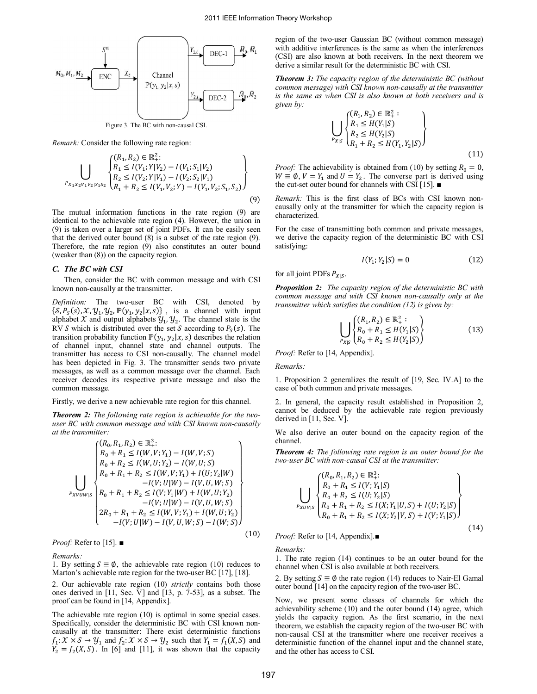

Figure 3. The BC with non-causal CSI.

*Remark:* Consider the following rate region:

$$
\bigcup_{P_{X_1X_2V_1V_2|S_1S_2}} \begin{cases} (R_1, R_2) \in \mathbb{R}_+^2: \\ R_1 \le I(V_1; Y|V_2) - I(V_1; S_1|V_2) \\ R_2 \le I(V_2; Y|V_1) - I(V_2; S_2|V_1) \\ R_1 + R_2 \le I(V_1, V_2; Y) - I(V_1, V_2; S_1, S_2) \end{cases}
$$
(9)

The mutual information functions in the rate region (9) are identical to the achievable rate region (4). However, the union in (9) is taken over a larger set of joint PDFs. It can be easily seen that the derived outer bound (8) is a subset of the rate region (9). Therefore, the rate region (9) also constitutes an outer bound (weaker than (8)) on the capacity region.

# *C. The BC with CSI*

Then, consider the BC with common message and with CSI known non-causally at the transmitter.

*Definition:* The two-user BC with CSI, denoted by  $\{S, P_S(s), X, Y_1, Y_2, \mathbb{P}(y_1, y_2 | x, s)\}$ , is a channel with input alphabet  $X$  and output alphabets  $\mathcal{Y}_1, \mathcal{Y}_2$ . The channel state is the RV S which is distributed over the set S according to  $P_s(s)$ . The transition probability function  $\mathbb{P}(y_1, y_2 | x, s)$  describes the relation of channel input, channel state and channel outputs. The transmitter has access to CSI non-causally. The channel model has been depicted in Fig. 3. The transmitter sends two private messages, as well as a common message over the channel. Each receiver decodes its respective private message and also the common message.

Firstly, we derive a new achievable rate region for this channel.

*Theorem 2: The following rate region is achievable for the twouser BC with common message and with CSI known non-causally at the transmitter:*

$$
\left\{\begin{array}{l} \left(R_{0},R_{1},R_{2}\right)\in\mathbb{R}^{3}_{+};\\ R_{0}+R_{1}\leq I(W,V;Y_{1})-I(W,V;S)\\ R_{0}+R_{2}\leq I(W,U;Y_{2})-I(W,U;S)\\ R_{0}+R_{1}+R_{2}\leq I(W,V;Y_{1})+I(U;Y_{2}|W)\\ -I(V;U|W)-I(V,U,W;S)\\ R_{0}+R_{1}+R_{2}\leq I(V;Y_{1}|W)+I(W,U;Y_{2})\\ -I(V;U|W)-I(V,U,W;S)\\ 2R_{0}+R_{1}+R_{2}\leq I(W,V;Y_{1})+I(W,U;Y_{2})\\ -I(V;U|W)-I(V,U,W;S)-I(W;S)\\ \end{array}\right\}
$$

*Proof:* Refer to [15].  $\blacksquare$ 

*Remarks:*

1. By setting  $S \equiv \emptyset$ , the achievable rate region (10) reduces to Marton's achievable rate region for the two-user BC [17], [18].

2. Our achievable rate region (10) *strictly* contains both those ones derived in  $[11, \text{Sec. V}]$  and  $[13, p. 7-53]$ , as a subset. The proof can be found in [14, Appendix].

The achievable rate region (10) is optimal in some special cases. Specifically, consider the deterministic BC with CSI known noncausally at the transmitter: There exist deterministic functions  $f_1: X \times S \to Y_1$  and  $f_2: X \times S \to Y_2$  such that  $Y_1 = f_1(X, S)$  and  $Y_2 = f_2(X, S)$ . In [6] and [11], it was shown that the capacity region of the two-user Gaussian BC (without common message) with additive interferences is the same as when the interferences (CSI) are also known at both receivers. In the next theorem we derive a similar result for the deterministic BC with CSI.

*Theorem 3: The capacity region of the deterministic BC (without common message) with CSI known non-causally at the transmitter is the same as when CSI is also known at both receivers and is given by:*

$$
\bigcup_{P_{X|S}} \begin{cases} (R_1, R_2) \in \mathbb{R}_+^2 : \\ R_1 \le H(Y_1|S) \\ R_2 \le H(Y_2|S) \\ R_1 + R_2 \le H(Y_1, Y_2|S) \end{cases}
$$
 (11)

*Proof:* The achievability is obtained from (10) by setting  $R_0 = 0$ ,  $W \equiv \emptyset$ ,  $V = Y_1$  and  $U = Y_2$ . The converse part is derived using the cut-set outer bound for channels with CSI [15].  $\blacksquare$ 

*Remark:* This is the first class of BCs with CSI known noncausally only at the transmitter for which the capacity region is characterized.

For the case of transmitting both common and private messages, we derive the capacity region of the deterministic BC with CSI satisfying:

$$
I(Y_1; Y_2 | S) = 0 \tag{12}
$$

for all joint PDFs  $P_{X|S}$ .

*Proposition 2: The capacity region of the deterministic BC with common message and with CSI known non-causally only at the transmitter which satisfies the condition (12) is given by:*

$$
\bigcup_{P_{X|S}} \begin{Bmatrix} (R_1, R_2) \in \mathbb{R}_+^2 : \\ R_0 + R_1 \le H(Y_1|S) \\ R_0 + R_2 \le H(Y_2|S) \end{Bmatrix}
$$
 (13)

*Proof:* Refer to [14, Appendix].

*Remarks:*

1. Proposition 2 generalizes the result of [19, Sec. IV.A] to the case of both common and private messages.

2. In general, the capacity result established in Proposition 2, cannot be deduced by the achievable rate region previously derived in [11, Sec. V].

We also derive an outer bound on the capacity region of the channel.

*Theorem 4: The following rate region is an outer bound for the two-user BC with non-causal CSI at the transmitter:*

$$
\bigcup_{P_{XUV|S}} \begin{Bmatrix} (R_0, R_1, R_2) \in \mathbb{R}^3_+; \\ R_0 + R_1 \le I(V; Y_1 | S) \\ R_0 + R_2 \le I(U; Y_2 | S) \\ R_0 + R_1 + R_2 \le I(X; Y_1 | U, S) + I(U; Y_2 | S) \\ R_0 + R_1 + R_2 \le I(X; Y_2 | V, S) + I(V; Y_1 | S) \end{Bmatrix}
$$
\n(14)

*Proof:* Refer to [14, Appendix].■

*Remarks:*

(10)

1. The rate region (14) continues to be an outer bound for the channel when CSI is also available at both receivers.

2. By setting  $S \equiv \emptyset$  the rate region (14) reduces to Nair-El Gamal outer bound [14] on the capacity region of the two-user BC.

Now, we present some classes of channels for which the achievability scheme (10) and the outer bound (14) agree, which yields the capacity region. As the first scenario, in the next theorem, we establish the capacity region of the two-user BC with non-causal CSI at the transmitter where one receiver receives a deterministic function of the channel input and the channel state, and the other has access to CSI.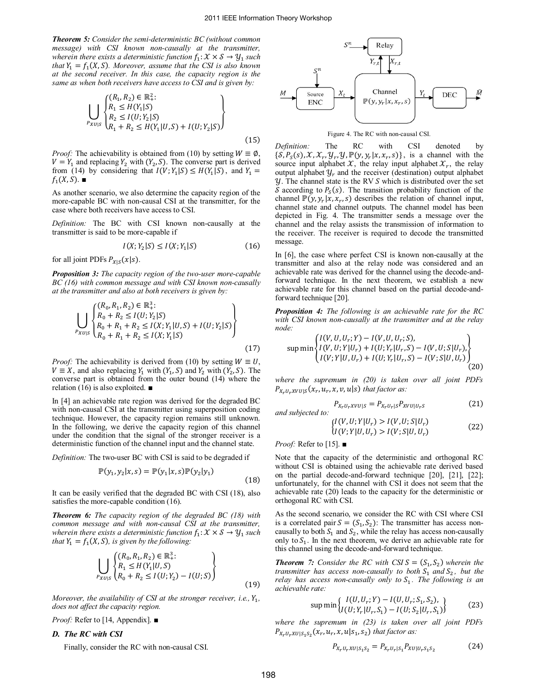*Theorem 5: Consider the semi-deterministic BC (without common message) with CSI known non-causally at the transmitter, wherein there exists a deterministic function*  $f_1: \mathcal{X} \times \mathcal{S} \rightarrow \mathcal{Y}_1$  such *that*  $Y_1 = f_1(X, S)$ *. Moreover, assume that the CSI is also known at the second receiver. In this case, the capacity region is the same as when both receivers have access to CSI and is given by:*

$$
\bigcup_{P_{XU|S}} \begin{cases} (R_1, R_2) \in \mathbb{R}_+^2; \\ R_1 \le H(Y_1|S) \\ R_2 \le I(U; Y_2|S) \\ R_1 + R_2 \le H(Y_1|U, S) + I(U; Y_2|S) \end{cases}
$$
 (15)

*Proof:* The achievability is obtained from (10) by setting  $W \equiv \emptyset$ ,  $V = Y_1$  and replacing  $Y_2$  with  $(Y_2, S)$ . The converse part is derived from (14) by considering that  $I(V; Y_1 | S) \leq H(Y_1 | S)$ , and  $Y_1 =$  $f_1(X, S)$ .  $\blacksquare$ 

As another scenario, we also determine the capacity region of the more-capable BC with non-causal CSI at the transmitter, for the case where both receivers have access to CSI.

*Definition:* The BC with CSI known non-causally at the transmitter is said to be more-capable if

$$
I(X; Y_2|S) \le I(X; Y_1|S) \tag{16}
$$

for all joint PDFs  $P_{X|S}(x|s)$ .

*Proposition 3: The capacity region of the two-user more-capable BC (16) with common message and with CSI known non-causally at the transmitter and also at both receivers is given by:*

$$
\bigcup_{P_{XU|S}} \begin{Bmatrix} (R_0, R_1, R_2) \in \mathbb{R}_+^3: \\ R_0 + R_2 \le I(U; Y_2 | S) \\ R_0 + R_1 + R_2 \le I(X; Y_1 | U, S) + I(U; Y_2 | S) \\ R_0 + R_1 + R_2 \le I(X; Y_1 | S) \end{Bmatrix}
$$
(17)

*Proof:* The achievability is derived from (10) by setting  $W \equiv U$ ,  $V \equiv X$ , and also replacing  $Y_1$  with  $(Y_1, S)$  and  $Y_2$  with  $(Y_2, S)$ . The converse part is obtained from the outer bound (14) where the relation (16) is also exploited.  $\blacksquare$ 

In [4] an achievable rate region was derived for the degraded BC with non-causal CSI at the transmitter using superposition coding technique. However, the capacity region remains still unknown. In the following, we derive the capacity region of this channel under the condition that the signal of the stronger receiver is a deterministic function of the channel input and the channel state.

*Definition:* The two-user BC with CSI is said to be degraded if

$$
\mathbb{P}(y_1, y_2 | x, s) = \mathbb{P}(y_1 | x, s) \mathbb{P}(y_2 | y_1)
$$
\n(18)

It can be easily verified that the degraded BC with CSI (18), also satisfies the more-capable condition (16).

*Theorem 6: The capacity region of the degraded BC (18) with common message and with non-causal CSI at the transmitter, wherein there exists a deterministic function*  $f_1$ :  $\mathcal{X} \times \mathcal{S} \rightarrow \mathcal{Y}_1$  *such that*  $Y_1 = f_1(X, S)$ *, is given by the following:* 

$$
\bigcup_{P_{XU|S}} \begin{Bmatrix} (R_0, R_1, R_2) \in \mathbb{R}^3_+ \\ R_1 \le H(Y_1 | U, S) \\ R_0 + R_2 \le I(U; Y_2) - I(U; S) \end{Bmatrix}
$$
\n(19)

*Moreover, the availability of CSI at the stronger receiver, i.e.,*  $Y_1$ *, does not affect the capacity region.*

*Proof:* Refer to [14, Appendix]. ■

# *D. The RC with CSI*

Finally, consider the RC with non-causal CSI.



Figure 4. The RC with non-causal CSI.

*Definition:* The RC with CSI denoted by  $\{\mathcal{S}, P_{\mathcal{S}}(s), \mathcal{X}, \mathcal{X}_r, \mathcal{Y}_r, \mathcal{Y}, \mathbb{P}(y, y_r | x, x_r, s)\}$ , is a channel with the source input alphabet  $X$ , the relay input alphabet  $X_r$ , the relay output alphabet  $\mathcal{Y}_r$  and the receiver (destination) output alphabet  $Y.$  The channel state is the RV  $S$  which is distributed over the set S according to  $P_S(s)$ . The transition probability function of the channel  $\mathbb{P}(y, y_r | x, x_r, s)$  describes the relation of channel input, channel state and channel outputs. The channel model has been depicted in Fig. 4. The transmitter sends a message over the channel and the relay assists the transmission of information to the receiver. The receiver is required to decode the transmitted message.

In [6], the case where perfect CSI is known non-causally at the transmitter and also at the relay node was considered and an achievable rate was derived for the channel using the decode-andforward technique. In the next theorem, we establish a new achievable rate for this channel based on the partial decode-andforward technique [20].

*Proposition 4: The following is an achievable rate for the RC with CSI known non-causally at the transmitter and at the relay node:*

$$
\sup \min \left\{ \begin{aligned} &I(V, U, U_r; Y) - I(V, U, U_r; S), \\ &I(V, U; Y | U_r) + I(U; Y_r | U_r, S) - I(V, U; S | U_r), \\ &I(V; Y | U, U_r) + I(U; Y_r | U_r, S) - I(V; S | U, U_r) \end{aligned} \right\} \tag{20}
$$

*where the supremum in (20) is taken over all joint PDFs*  $P_{X_rU_rXVU|S}(x_r, u_r, x, v, u|s)$  that factor as:

$$
P_{X_rU_rXVU|S} = P_{X_rU_r|S}P_{XVU|U_rS}
$$
\n<sup>(21)</sup>

$$
\begin{aligned} & \{I(V,U;Y|U_r) > I(V,U;S|U_r) \\ & I(V;Y|U,U_r) > I(V;S|U,U_r) \end{aligned} \tag{22}
$$

*Proof:* Refer to [15].  $\blacksquare$ 

*and subjected to:*

Note that the capacity of the deterministic and orthogonal RC without CSI is obtained using the achievable rate derived based on the partial decode-and-forward technique [20], [21], [22]; unfortunately, for the channel with CSI it does not seem that the achievable rate (20) leads to the capacity for the deterministic or orthogonal RC with CSI.

As the second scenario, we consider the RC with CSI where CSI is a correlated pair  $S = (S_1, S_2)$ : The transmitter has access noncausally to both  $S_1$  and  $S_2$ , while the relay has access non-causally only to  $S_1$ . In the next theorem, we derive an achievable rate for this channel using the decode-and-forward technique.

**Theorem 7:** Consider the RC with  $CSI S = (S<sub>1</sub>, S<sub>2</sub>)$  wherein the *transmitter has access non-causally to both*  $S_1$  *and*  $S_2$ *, but the relay has access non-causally only to*  $S<sub>1</sub>$ *. The following is an achievable rate:*

$$
\sup \min \left\{ \begin{matrix} I(U, U_r; Y) - I(U, U_r; S_1, S_2), \\ I(U; Y_r | U_r, S_1) - I(U; S_2 | U_r, S_1) \end{matrix} \right\} \tag{23}
$$

*where the supremum in (23) is taken over all joint PDFs*  $P_{X_rU_rXU|S_1S_2}(x_r, u_r, x, u|S_1, S_2)$  that factor as:

$$
P_{X_r U_r X U | S_1 S_2} = P_{X_r U_r | S_1} P_{X U | U_r S_1 S_2}
$$
 (24)